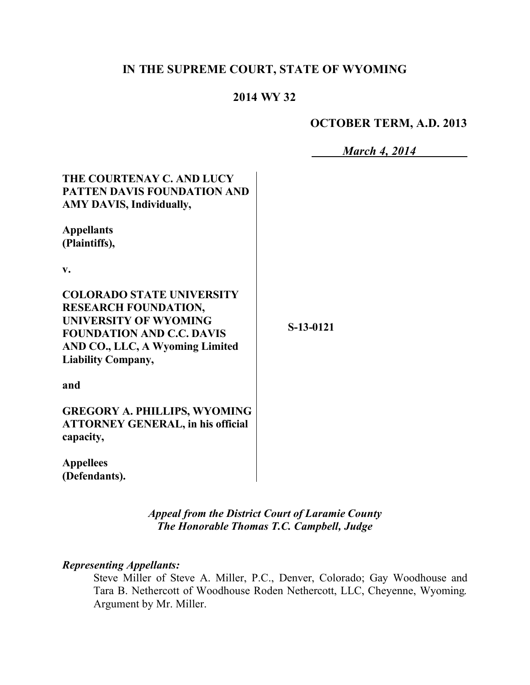# **IN THE SUPREME COURT, STATE OF WYOMING**

### **2014 WY 32**

## **OCTOBER TERM, A.D. 2013**

*March 4, 2014*

| THE COURTENAY C. AND LUCY<br><b>PATTEN DAVIS FOUNDATION AND</b><br><b>AMY DAVIS, Individually,</b>                                                                                                  |             |
|-----------------------------------------------------------------------------------------------------------------------------------------------------------------------------------------------------|-------------|
| <b>Appellants</b><br>(Plaintiffs),                                                                                                                                                                  |             |
| $\mathbf{v}$ .                                                                                                                                                                                      |             |
| <b>COLORADO STATE UNIVERSITY</b><br><b>RESEARCH FOUNDATION,</b><br><b>UNIVERSITY OF WYOMING</b><br><b>FOUNDATION AND C.C. DAVIS</b><br>AND CO., LLC, A Wyoming Limited<br><b>Liability Company,</b> | $S-13-0121$ |
| and                                                                                                                                                                                                 |             |
| <b>GREGORY A. PHILLIPS, WYOMING</b><br><b>ATTORNEY GENERAL, in his official</b><br>capacity,                                                                                                        |             |
| <b>Appellees</b><br>(Defendants).                                                                                                                                                                   |             |

*Appeal from the District Court of Laramie County The Honorable Thomas T.C. Campbell, Judge* 

#### *Representing Appellants:*

Steve Miller of Steve A. Miller, P.C., Denver, Colorado; Gay Woodhouse and Tara B. Nethercott of Woodhouse Roden Nethercott, LLC, Cheyenne, Wyoming. Argument by Mr. Miller.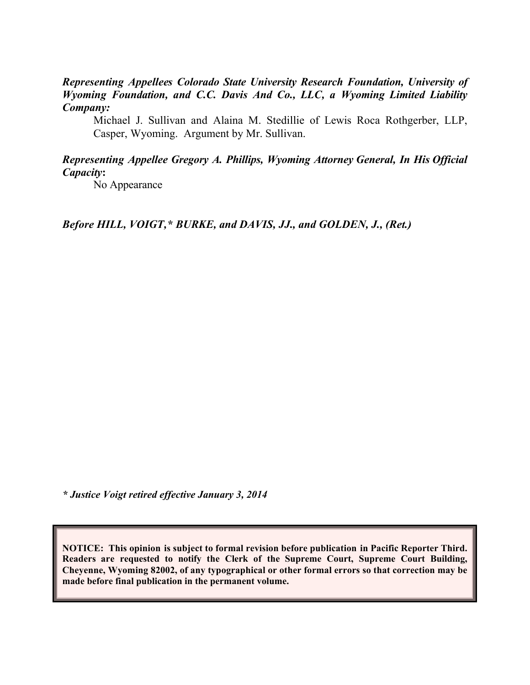*Representing Appellees Colorado State University Research Foundation, University of Wyoming Foundation, and C.C. Davis And Co., LLC, a Wyoming Limited Liability Company:*

Michael J. Sullivan and Alaina M. Stedillie of Lewis Roca Rothgerber, LLP, Casper, Wyoming. Argument by Mr. Sullivan.

#### *Representing Appellee Gregory A. Phillips, Wyoming Attorney General, In His Official Capacity***:**

No Appearance

*Before HILL, VOIGT,\* BURKE, and DAVIS, JJ., and GOLDEN, J., (Ret.)*

*\* Justice Voigt retired effective January 3, 2014*

**NOTICE: This opinion is subject to formal revision before publication in Pacific Reporter Third. Readers are requested to notify the Clerk of the Supreme Court, Supreme Court Building, Cheyenne, Wyoming 82002, of any typographical or other formal errors so that correction may be made before final publication in the permanent volume.**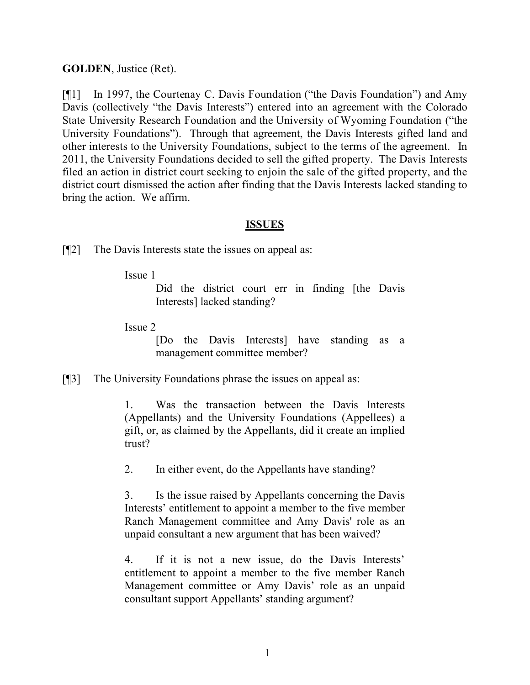#### **GOLDEN**, Justice (Ret).

[¶1] In 1997, the Courtenay C. Davis Foundation ("the Davis Foundation") and Amy Davis (collectively "the Davis Interests") entered into an agreement with the Colorado State University Research Foundation and the University of Wyoming Foundation ("the University Foundations"). Through that agreement, the Davis Interests gifted land and other interests to the University Foundations, subject to the terms of the agreement. In 2011, the University Foundations decided to sell the gifted property. The Davis Interests filed an action in district court seeking to enjoin the sale of the gifted property, and the district court dismissed the action after finding that the Davis Interests lacked standing to bring the action. We affirm.

#### **ISSUES**

[¶2] The Davis Interests state the issues on appeal as:

Issue 1

Did the district court err in finding [the Davis Interests] lacked standing?

Issue 2

[Do the Davis Interests] have standing as a management committee member?

[¶3] The University Foundations phrase the issues on appeal as:

1. Was the transaction between the Davis Interests (Appellants) and the University Foundations (Appellees) a gift, or, as claimed by the Appellants, did it create an implied trust?

2. In either event, do the Appellants have standing?

3. Is the issue raised by Appellants concerning the Davis Interests' entitlement to appoint a member to the five member Ranch Management committee and Amy Davis' role as an unpaid consultant a new argument that has been waived?

4. If it is not a new issue, do the Davis Interests' entitlement to appoint a member to the five member Ranch Management committee or Amy Davis' role as an unpaid consultant support Appellants' standing argument?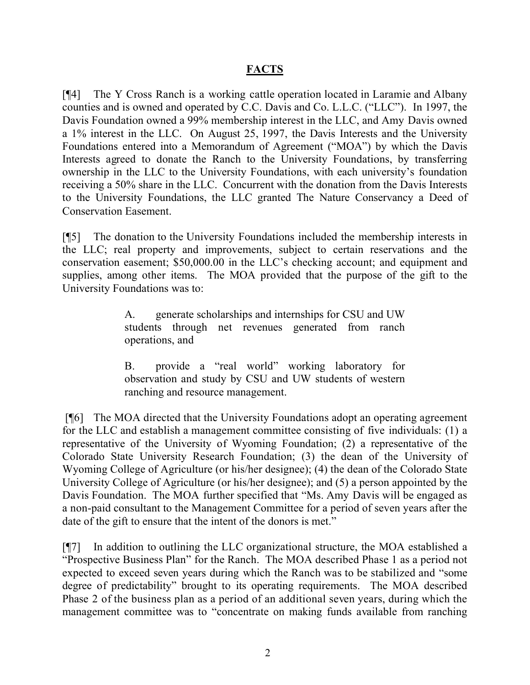### **FACTS**

[¶4] The Y Cross Ranch is a working cattle operation located in Laramie and Albany counties and is owned and operated by C.C. Davis and Co. L.L.C. ("LLC"). In 1997, the Davis Foundation owned a 99% membership interest in the LLC, and Amy Davis owned a 1% interest in the LLC. On August 25, 1997, the Davis Interests and the University Foundations entered into a Memorandum of Agreement ("MOA") by which the Davis Interests agreed to donate the Ranch to the University Foundations, by transferring ownership in the LLC to the University Foundations, with each university's foundation receiving a 50% share in the LLC. Concurrent with the donation from the Davis Interests to the University Foundations, the LLC granted The Nature Conservancy a Deed of Conservation Easement.

[¶5] The donation to the University Foundations included the membership interests in the LLC; real property and improvements, subject to certain reservations and the conservation easement; \$50,000.00 in the LLC's checking account; and equipment and supplies, among other items. The MOA provided that the purpose of the gift to the University Foundations was to:

> A. generate scholarships and internships for CSU and UW students through net revenues generated from ranch operations, and

> B. provide a "real world" working laboratory for observation and study by CSU and UW students of western ranching and resource management.

[¶6] The MOA directed that the University Foundations adopt an operating agreement for the LLC and establish a management committee consisting of five individuals: (1) a representative of the University of Wyoming Foundation; (2) a representative of the Colorado State University Research Foundation; (3) the dean of the University of Wyoming College of Agriculture (or his/her designee); (4) the dean of the Colorado State University College of Agriculture (or his/her designee); and (5) a person appointed by the Davis Foundation. The MOA further specified that "Ms. Amy Davis will be engaged as a non-paid consultant to the Management Committee for a period of seven years after the date of the gift to ensure that the intent of the donors is met."

[¶7] In addition to outlining the LLC organizational structure, the MOA established a "Prospective Business Plan" for the Ranch. The MOA described Phase 1 as a period not expected to exceed seven years during which the Ranch was to be stabilized and "some degree of predictability" brought to its operating requirements. The MOA described Phase 2 of the business plan as a period of an additional seven years, during which the management committee was to "concentrate on making funds available from ranching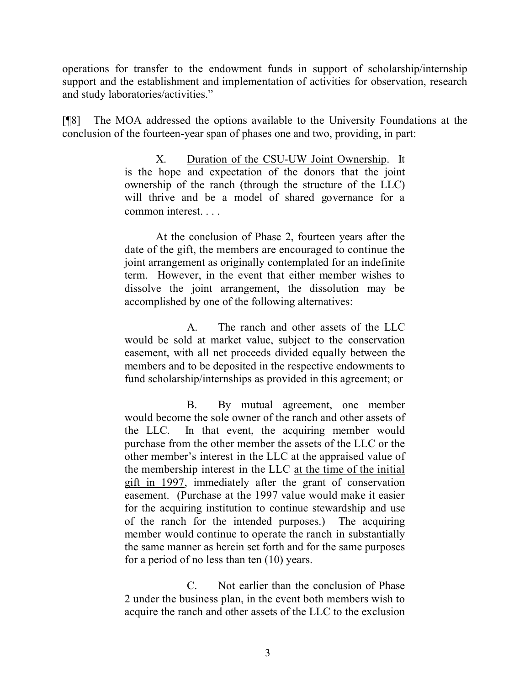operations for transfer to the endowment funds in support of scholarship/internship support and the establishment and implementation of activities for observation, research and study laboratories/activities."

[¶8] The MOA addressed the options available to the University Foundations at the conclusion of the fourteen-year span of phases one and two, providing, in part:

> X. Duration of the CSU-UW Joint Ownership. It is the hope and expectation of the donors that the joint ownership of the ranch (through the structure of the LLC) will thrive and be a model of shared governance for a common interest. . . .

> At the conclusion of Phase 2, fourteen years after the date of the gift, the members are encouraged to continue the joint arrangement as originally contemplated for an indefinite term. However, in the event that either member wishes to dissolve the joint arrangement, the dissolution may be accomplished by one of the following alternatives:

> A. The ranch and other assets of the LLC would be sold at market value, subject to the conservation easement, with all net proceeds divided equally between the members and to be deposited in the respective endowments to fund scholarship/internships as provided in this agreement; or

> B. By mutual agreement, one member would become the sole owner of the ranch and other assets of the LLC. In that event, the acquiring member would purchase from the other member the assets of the LLC or the other member's interest in the LLC at the appraised value of the membership interest in the LLC at the time of the initial gift in 1997, immediately after the grant of conservation easement. (Purchase at the 1997 value would make it easier for the acquiring institution to continue stewardship and use of the ranch for the intended purposes.) The acquiring member would continue to operate the ranch in substantially the same manner as herein set forth and for the same purposes for a period of no less than ten (10) years.

> C. Not earlier than the conclusion of Phase 2 under the business plan, in the event both members wish to acquire the ranch and other assets of the LLC to the exclusion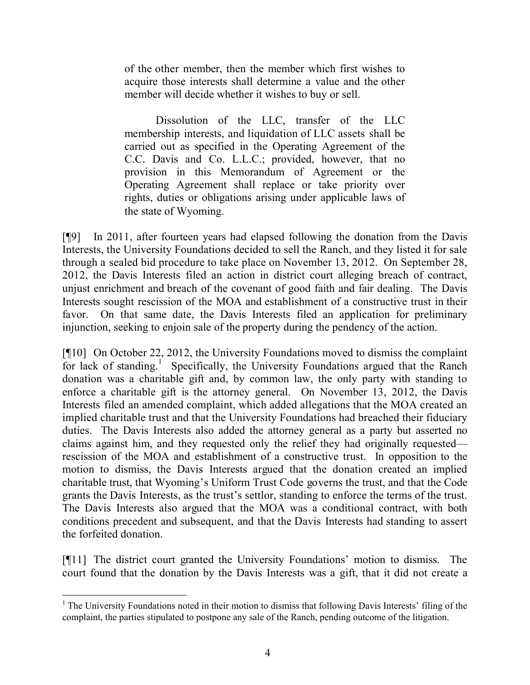of the other member, then the member which first wishes to acquire those interests shall determine a value and the other member will decide whether it wishes to buy or sell.

Dissolution of the LLC, transfer of the LLC membership interests, and liquidation of LLC assets shall be carried out as specified in the Operating Agreement of the C.C. Davis and Co. L.L.C.; provided, however, that no provision in this Memorandum of Agreement or the Operating Agreement shall replace or take priority over rights, duties or obligations arising under applicable laws of the state of Wyoming.

[¶9] In 2011, after fourteen years had elapsed following the donation from the Davis Interests, the University Foundations decided to sell the Ranch, and they listed it for sale through a sealed bid procedure to take place on November 13, 2012. On September 28, 2012, the Davis Interests filed an action in district court alleging breach of contract, unjust enrichment and breach of the covenant of good faith and fair dealing. The Davis Interests sought rescission of the MOA and establishment of a constructive trust in their favor. On that same date, the Davis Interests filed an application for preliminary injunction, seeking to enjoin sale of the property during the pendency of the action.

[¶10] On October 22, 2012, the University Foundations moved to dismiss the complaint for lack of standing.<sup>1</sup> Specifically, the University Foundations argued that the Ranch donation was a charitable gift and, by common law, the only party with standing to enforce a charitable gift is the attorney general. On November 13, 2012, the Davis Interests filed an amended complaint, which added allegations that the MOA created an implied charitable trust and that the University Foundations had breached their fiduciary duties. The Davis Interests also added the attorney general as a party but asserted no claims against him, and they requested only the relief they had originally requested rescission of the MOA and establishment of a constructive trust. In opposition to the motion to dismiss, the Davis Interests argued that the donation created an implied charitable trust, that Wyoming's Uniform Trust Code governs the trust, and that the Code grants the Davis Interests, as the trust's settlor, standing to enforce the terms of the trust. The Davis Interests also argued that the MOA was a conditional contract, with both conditions precedent and subsequent, and that the Davis Interests had standing to assert the forfeited donation.

[¶11] The district court granted the University Foundations' motion to dismiss. The court found that the donation by the Davis Interests was a gift, that it did not create a

 $1$  The University Foundations noted in their motion to dismiss that following Davis Interests' filing of the complaint, the parties stipulated to postpone any sale of the Ranch, pending outcome of the litigation.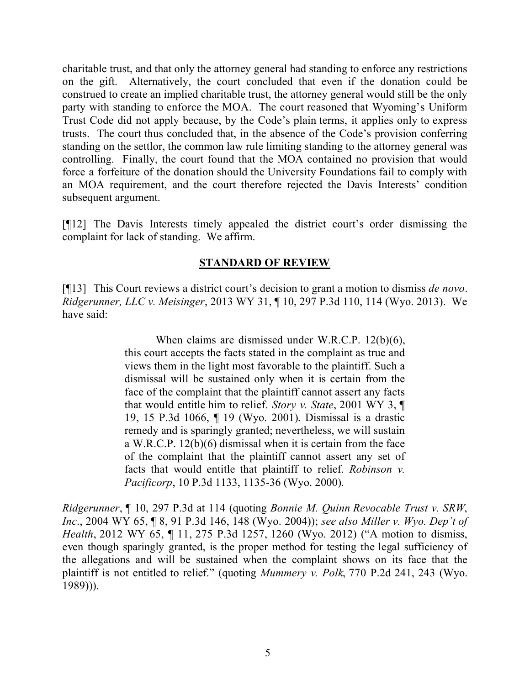charitable trust, and that only the attorney general had standing to enforce any restrictions on the gift. Alternatively, the court concluded that even if the donation could be construed to create an implied charitable trust, the attorney general would still be the only party with standing to enforce the MOA. The court reasoned that Wyoming's Uniform Trust Code did not apply because, by the Code's plain terms, it applies only to express trusts. The court thus concluded that, in the absence of the Code's provision conferring standing on the settlor, the common law rule limiting standing to the attorney general was controlling. Finally, the court found that the MOA contained no provision that would force a forfeiture of the donation should the University Foundations fail to comply with an MOA requirement, and the court therefore rejected the Davis Interests' condition subsequent argument.

[¶12] The Davis Interests timely appealed the district court's order dismissing the complaint for lack of standing. We affirm.

### **STANDARD OF REVIEW**

[¶13] This Court reviews a district court's decision to grant a motion to dismiss *de novo*. *Ridgerunner, LLC v. Meisinger*, 2013 WY 31, ¶ 10, 297 P.3d 110, 114 (Wyo. 2013). We have said:

> When claims are dismissed under W.R.C.P. 12(b)(6), this court accepts the facts stated in the complaint as true and views them in the light most favorable to the plaintiff. Such a dismissal will be sustained only when it is certain from the face of the complaint that the plaintiff cannot assert any facts that would entitle him to relief. *Story v. State*, 2001 WY 3, ¶ 19, 15 P.3d 1066, ¶ 19 (Wyo. 2001). Dismissal is a drastic remedy and is sparingly granted; nevertheless, we will sustain a W.R.C.P. 12(b)(6) dismissal when it is certain from the face of the complaint that the plaintiff cannot assert any set of facts that would entitle that plaintiff to relief. *Robinson v. Pacificorp*, 10 P.3d 1133, 1135-36 (Wyo. 2000).

*Ridgerunner*, ¶ 10, 297 P.3d at 114 (quoting *Bonnie M. Quinn Revocable Trust v. SRW*, *Inc*., 2004 WY 65, ¶ 8, 91 P.3d 146, 148 (Wyo. 2004)); *see also Miller v. Wyo. Dep't of Health*, 2012 WY 65, ¶ 11, 275 P.3d 1257, 1260 (Wyo. 2012) ("A motion to dismiss, even though sparingly granted, is the proper method for testing the legal sufficiency of the allegations and will be sustained when the complaint shows on its face that the plaintiff is not entitled to relief." (quoting *Mummery v. Polk*, 770 P.2d 241, 243 (Wyo. 1989))).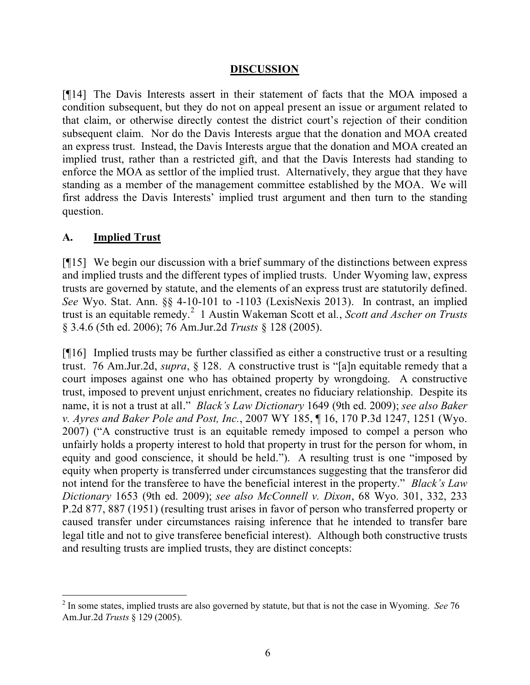#### **DISCUSSION**

[¶14] The Davis Interests assert in their statement of facts that the MOA imposed a condition subsequent, but they do not on appeal present an issue or argument related to that claim, or otherwise directly contest the district court's rejection of their condition subsequent claim. Nor do the Davis Interests argue that the donation and MOA created an express trust. Instead, the Davis Interests argue that the donation and MOA created an implied trust, rather than a restricted gift, and that the Davis Interests had standing to enforce the MOA as settlor of the implied trust. Alternatively, they argue that they have standing as a member of the management committee established by the MOA. We will first address the Davis Interests' implied trust argument and then turn to the standing question.

#### **A. Implied Trust**

[¶15] We begin our discussion with a brief summary of the distinctions between express and implied trusts and the different types of implied trusts. Under Wyoming law, express trusts are governed by statute, and the elements of an express trust are statutorily defined. *See* Wyo. Stat. Ann. §§ 4-10-101 to -1103 (LexisNexis 2013). In contrast, an implied trust is an equitable remedy.<sup>2</sup> 1 Austin Wakeman Scott et al*.*, *Scott and Ascher on Trusts* § 3.4.6 (5th ed. 2006); 76 Am.Jur.2d *Trusts* § 128 (2005).

[¶16] Implied trusts may be further classified as either a constructive trust or a resulting trust. 76 Am.Jur.2d, *supra*, § 128. A constructive trust is "[a]n equitable remedy that a court imposes against one who has obtained property by wrongdoing. A constructive trust, imposed to prevent unjust enrichment, creates no fiduciary relationship. Despite its name, it is not a trust at all." *Black's Law Dictionary* 1649 (9th ed. 2009); *see also Baker v. Ayres and Baker Pole and Post, Inc.*, 2007 WY 185, ¶ 16, 170 P.3d 1247, 1251 (Wyo. 2007) ("A constructive trust is an equitable remedy imposed to compel a person who unfairly holds a property interest to hold that property in trust for the person for whom, in equity and good conscience, it should be held."). A resulting trust is one "imposed by equity when property is transferred under circumstances suggesting that the transferor did not intend for the transferee to have the beneficial interest in the property." *Black's Law Dictionary* 1653 (9th ed. 2009); *see also McConnell v. Dixon*, 68 Wyo. 301, 332, 233 P.2d 877, 887 (1951) (resulting trust arises in favor of person who transferred property or caused transfer under circumstances raising inference that he intended to transfer bare legal title and not to give transferee beneficial interest). Although both constructive trusts and resulting trusts are implied trusts, they are distinct concepts:

<sup>2</sup> In some states, implied trusts are also governed by statute, but that is not the case in Wyoming. *See* 76 Am.Jur.2d *Trusts* § 129 (2005).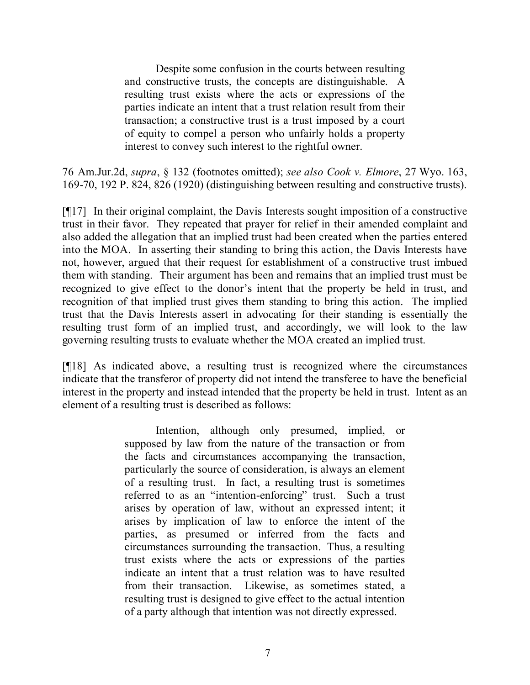Despite some confusion in the courts between resulting and constructive trusts, the concepts are distinguishable. A resulting trust exists where the acts or expressions of the parties indicate an intent that a trust relation result from their transaction; a constructive trust is a trust imposed by a court of equity to compel a person who unfairly holds a property interest to convey such interest to the rightful owner.

76 Am.Jur.2d, *supra*, § 132 (footnotes omitted); *see also Cook v. Elmore*, 27 Wyo. 163, 169-70, 192 P. 824, 826 (1920) (distinguishing between resulting and constructive trusts).

[¶17] In their original complaint, the Davis Interests sought imposition of a constructive trust in their favor. They repeated that prayer for relief in their amended complaint and also added the allegation that an implied trust had been created when the parties entered into the MOA. In asserting their standing to bring this action, the Davis Interests have not, however, argued that their request for establishment of a constructive trust imbued them with standing. Their argument has been and remains that an implied trust must be recognized to give effect to the donor's intent that the property be held in trust, and recognition of that implied trust gives them standing to bring this action. The implied trust that the Davis Interests assert in advocating for their standing is essentially the resulting trust form of an implied trust, and accordingly, we will look to the law governing resulting trusts to evaluate whether the MOA created an implied trust.

[¶18] As indicated above, a resulting trust is recognized where the circumstances indicate that the transferor of property did not intend the transferee to have the beneficial interest in the property and instead intended that the property be held in trust. Intent as an element of a resulting trust is described as follows:

> Intention, although only presumed, implied, or supposed by law from the nature of the transaction or from the facts and circumstances accompanying the transaction, particularly the source of consideration, is always an element of a resulting trust. In fact, a resulting trust is sometimes referred to as an "intention-enforcing" trust. Such a trust arises by operation of law, without an expressed intent; it arises by implication of law to enforce the intent of the parties, as presumed or inferred from the facts and circumstances surrounding the transaction. Thus, a resulting trust exists where the acts or expressions of the parties indicate an intent that a trust relation was to have resulted from their transaction. Likewise, as sometimes stated, a resulting trust is designed to give effect to the actual intention of a party although that intention was not directly expressed.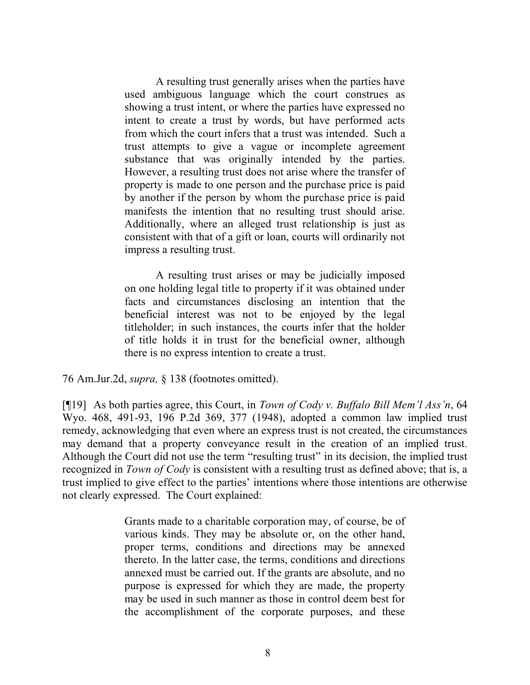A resulting trust generally arises when the parties have used ambiguous language which the court construes as showing a trust intent, or where the parties have expressed no intent to create a trust by words, but have performed acts from which the court infers that a trust was intended. Such a trust attempts to give a vague or incomplete agreement substance that was originally intended by the parties. However, a resulting trust does not arise where the transfer of property is made to one person and the purchase price is paid by another if the person by whom the purchase price is paid manifests the intention that no resulting trust should arise. Additionally, where an alleged trust relationship is just as consistent with that of a gift or loan, courts will ordinarily not impress a resulting trust.

A resulting trust arises or may be judicially imposed on one holding legal title to property if it was obtained under facts and circumstances disclosing an intention that the beneficial interest was not to be enjoyed by the legal titleholder; in such instances, the courts infer that the holder of title holds it in trust for the beneficial owner, although there is no express intention to create a trust.

76 Am.Jur.2d, *supra,* § 138 (footnotes omitted).

[¶19] As both parties agree, this Court, in *Town of Cody v. Buffalo Bill Mem'l Ass'n*, 64 Wyo. 468, 491-93, 196 P.2d 369, 377 (1948), adopted a common law implied trust remedy, acknowledging that even where an express trust is not created, the circumstances may demand that a property conveyance result in the creation of an implied trust. Although the Court did not use the term "resulting trust" in its decision, the implied trust recognized in *Town of Cody* is consistent with a resulting trust as defined above; that is, a trust implied to give effect to the parties' intentions where those intentions are otherwise not clearly expressed. The Court explained:

> Grants made to a charitable corporation may, of course, be of various kinds. They may be absolute or, on the other hand, proper terms, conditions and directions may be annexed thereto. In the latter case, the terms, conditions and directions annexed must be carried out. If the grants are absolute, and no purpose is expressed for which they are made, the property may be used in such manner as those in control deem best for the accomplishment of the corporate purposes, and these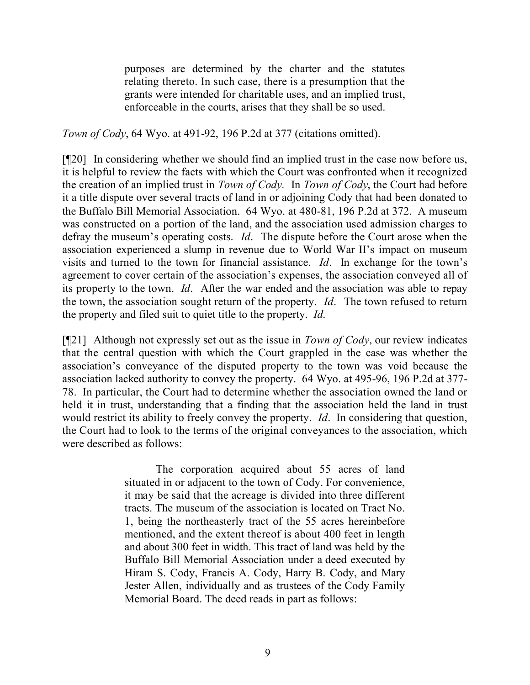purposes are determined by the charter and the statutes relating thereto. In such case, there is a presumption that the grants were intended for charitable uses, and an implied trust, enforceable in the courts, arises that they shall be so used.

*Town of Cody*, 64 Wyo. at 491-92, 196 P.2d at 377 (citations omitted).

[¶20] In considering whether we should find an implied trust in the case now before us, it is helpful to review the facts with which the Court was confronted when it recognized the creation of an implied trust in *Town of Cody.* In *Town of Cody*, the Court had before it a title dispute over several tracts of land in or adjoining Cody that had been donated to the Buffalo Bill Memorial Association. 64 Wyo. at 480-81, 196 P.2d at 372. A museum was constructed on a portion of the land, and the association used admission charges to defray the museum's operating costs. *Id*. The dispute before the Court arose when the association experienced a slump in revenue due to World War II's impact on museum visits and turned to the town for financial assistance. *Id*. In exchange for the town's agreement to cover certain of the association's expenses, the association conveyed all of its property to the town. *Id*. After the war ended and the association was able to repay the town, the association sought return of the property. *Id*. The town refused to return the property and filed suit to quiet title to the property. *Id*.

[¶21] Although not expressly set out as the issue in *Town of Cody*, our review indicates that the central question with which the Court grappled in the case was whether the association's conveyance of the disputed property to the town was void because the association lacked authority to convey the property. 64 Wyo. at 495-96, 196 P.2d at 377- 78. In particular, the Court had to determine whether the association owned the land or held it in trust, understanding that a finding that the association held the land in trust would restrict its ability to freely convey the property. *Id*. In considering that question, the Court had to look to the terms of the original conveyances to the association, which were described as follows:

> The corporation acquired about 55 acres of land situated in or adjacent to the town of Cody. For convenience, it may be said that the acreage is divided into three different tracts. The museum of the association is located on Tract No. 1, being the northeasterly tract of the 55 acres hereinbefore mentioned, and the extent thereof is about 400 feet in length and about 300 feet in width. This tract of land was held by the Buffalo Bill Memorial Association under a deed executed by Hiram S. Cody, Francis A. Cody, Harry B. Cody, and Mary Jester Allen, individually and as trustees of the Cody Family Memorial Board. The deed reads in part as follows: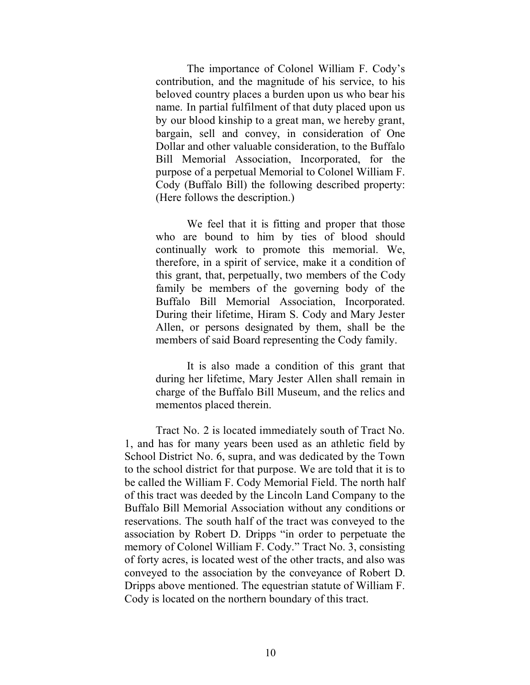The importance of Colonel William F. Cody's contribution, and the magnitude of his service, to his beloved country places a burden upon us who bear his name. In partial fulfilment of that duty placed upon us by our blood kinship to a great man, we hereby grant, bargain, sell and convey, in consideration of One Dollar and other valuable consideration, to the Buffalo Bill Memorial Association, Incorporated, for the purpose of a perpetual Memorial to Colonel William F. Cody (Buffalo Bill) the following described property: (Here follows the description.)

We feel that it is fitting and proper that those who are bound to him by ties of blood should continually work to promote this memorial. We, therefore, in a spirit of service, make it a condition of this grant, that, perpetually, two members of the Cody family be members of the governing body of the Buffalo Bill Memorial Association, Incorporated. During their lifetime, Hiram S. Cody and Mary Jester Allen, or persons designated by them, shall be the members of said Board representing the Cody family.

It is also made a condition of this grant that during her lifetime, Mary Jester Allen shall remain in charge of the Buffalo Bill Museum, and the relics and mementos placed therein.

Tract No. 2 is located immediately south of Tract No. 1, and has for many years been used as an athletic field by School District No. 6, supra, and was dedicated by the Town to the school district for that purpose. We are told that it is to be called the William F. Cody Memorial Field. The north half of this tract was deeded by the Lincoln Land Company to the Buffalo Bill Memorial Association without any conditions or reservations. The south half of the tract was conveyed to the association by Robert D. Dripps "in order to perpetuate the memory of Colonel William F. Cody." Tract No. 3, consisting of forty acres, is located west of the other tracts, and also was conveyed to the association by the conveyance of Robert D. Dripps above mentioned. The equestrian statute of William F. Cody is located on the northern boundary of this tract.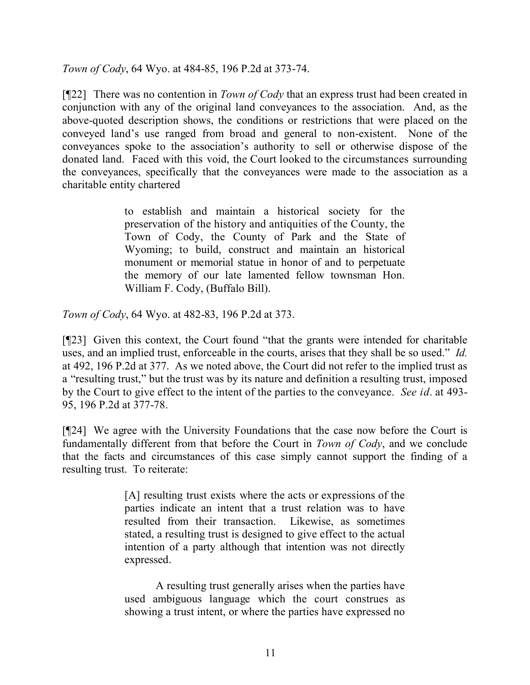*Town of Cody*, 64 Wyo. at 484-85, 196 P.2d at 373-74.

[¶22] There was no contention in *Town of Cody* that an express trust had been created in conjunction with any of the original land conveyances to the association. And, as the above-quoted description shows, the conditions or restrictions that were placed on the conveyed land's use ranged from broad and general to non-existent. None of the conveyances spoke to the association's authority to sell or otherwise dispose of the donated land. Faced with this void, the Court looked to the circumstances surrounding the conveyances, specifically that the conveyances were made to the association as a charitable entity chartered

> to establish and maintain a historical society for the preservation of the history and antiquities of the County, the Town of Cody, the County of Park and the State of Wyoming; to build, construct and maintain an historical monument or memorial statue in honor of and to perpetuate the memory of our late lamented fellow townsman Hon. William F. Cody, (Buffalo Bill).

*Town of Cody*, 64 Wyo. at 482-83, 196 P.2d at 373.

[¶23] Given this context, the Court found "that the grants were intended for charitable uses, and an implied trust, enforceable in the courts, arises that they shall be so used." *Id.* at 492, 196 P.2d at 377. As we noted above, the Court did not refer to the implied trust as a "resulting trust," but the trust was by its nature and definition a resulting trust, imposed by the Court to give effect to the intent of the parties to the conveyance. *See id*. at 493- 95, 196 P.2d at 377-78.

[¶24] We agree with the University Foundations that the case now before the Court is fundamentally different from that before the Court in *Town of Cody*, and we conclude that the facts and circumstances of this case simply cannot support the finding of a resulting trust. To reiterate:

> [A] resulting trust exists where the acts or expressions of the parties indicate an intent that a trust relation was to have resulted from their transaction. Likewise, as sometimes stated, a resulting trust is designed to give effect to the actual intention of a party although that intention was not directly expressed.

> A resulting trust generally arises when the parties have used ambiguous language which the court construes as showing a trust intent, or where the parties have expressed no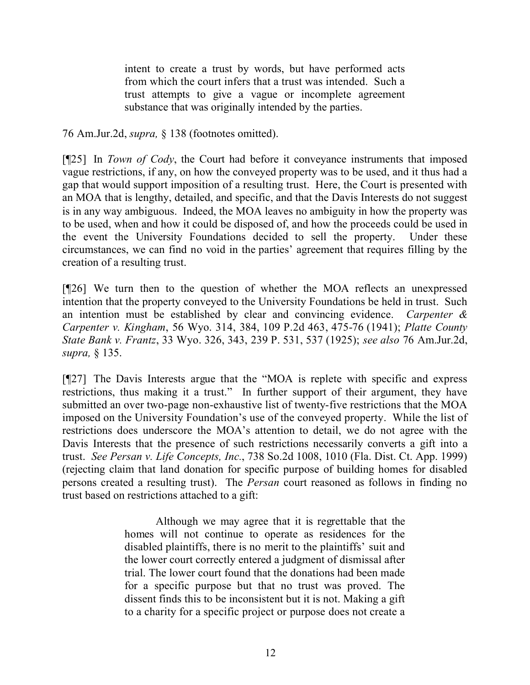intent to create a trust by words, but have performed acts from which the court infers that a trust was intended. Such a trust attempts to give a vague or incomplete agreement substance that was originally intended by the parties.

76 Am.Jur.2d, *supra,* § 138 (footnotes omitted).

[¶25] In *Town of Cody*, the Court had before it conveyance instruments that imposed vague restrictions, if any, on how the conveyed property was to be used, and it thus had a gap that would support imposition of a resulting trust. Here, the Court is presented with an MOA that is lengthy, detailed, and specific, and that the Davis Interests do not suggest is in any way ambiguous. Indeed, the MOA leaves no ambiguity in how the property was to be used, when and how it could be disposed of, and how the proceeds could be used in the event the University Foundations decided to sell the property. Under these circumstances, we can find no void in the parties' agreement that requires filling by the creation of a resulting trust.

[¶26] We turn then to the question of whether the MOA reflects an unexpressed intention that the property conveyed to the University Foundations be held in trust. Such an intention must be established by clear and convincing evidence. *Carpenter & Carpenter v. Kingham*, 56 Wyo. 314, 384, 109 P.2d 463, 475-76 (1941); *Platte County State Bank v. Frantz*, 33 Wyo. 326, 343, 239 P. 531, 537 (1925); *see also* 76 Am.Jur.2d, *supra,* § 135.

[¶27] The Davis Interests argue that the "MOA is replete with specific and express restrictions, thus making it a trust." In further support of their argument, they have submitted an over two-page non-exhaustive list of twenty-five restrictions that the MOA imposed on the University Foundation's use of the conveyed property. While the list of restrictions does underscore the MOA's attention to detail, we do not agree with the Davis Interests that the presence of such restrictions necessarily converts a gift into a trust. *See Persan v. Life Concepts, Inc.*, 738 So.2d 1008, 1010 (Fla. Dist. Ct. App. 1999) (rejecting claim that land donation for specific purpose of building homes for disabled persons created a resulting trust). The *Persan* court reasoned as follows in finding no trust based on restrictions attached to a gift:

> Although we may agree that it is regrettable that the homes will not continue to operate as residences for the disabled plaintiffs, there is no merit to the plaintiffs' suit and the lower court correctly entered a judgment of dismissal after trial. The lower court found that the donations had been made for a specific purpose but that no trust was proved. The dissent finds this to be inconsistent but it is not. Making a gift to a charity for a specific project or purpose does not create a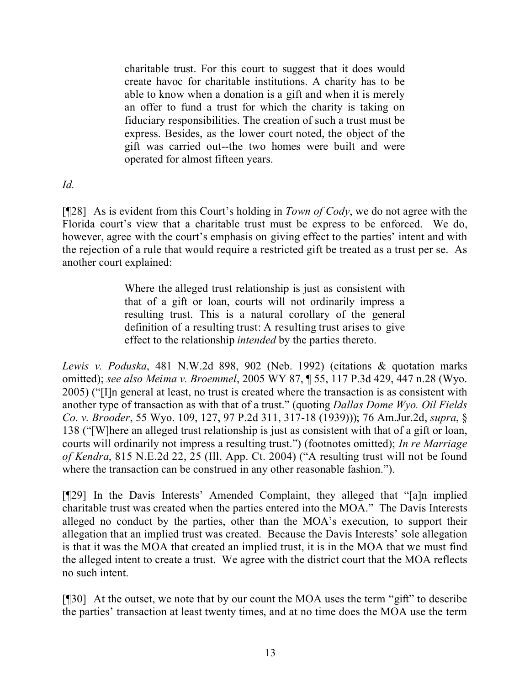charitable trust. For this court to suggest that it does would create havoc for charitable institutions. A charity has to be able to know when a donation is a gift and when it is merely an offer to fund a trust for which the charity is taking on fiduciary responsibilities. The creation of such a trust must be express. Besides, as the lower court noted, the object of the gift was carried out--the two homes were built and were operated for almost fifteen years.

### *Id.*

[¶28] As is evident from this Court's holding in *Town of Cody*, we do not agree with the Florida court's view that a charitable trust must be express to be enforced. We do, however, agree with the court's emphasis on giving effect to the parties' intent and with the rejection of a rule that would require a restricted gift be treated as a trust per se. As another court explained:

> Where the alleged trust relationship is just as consistent with that of a gift or loan, courts will not ordinarily impress a resulting trust. This is a natural corollary of the general definition of a resulting trust: A resulting trust arises to give effect to the relationship *intended* by the parties thereto.

*Lewis v. Poduska*, 481 N.W.2d 898, 902 (Neb. 1992) (citations & quotation marks omitted); *see also Meima v. Broemmel*, 2005 WY 87, ¶ 55, 117 P.3d 429, 447 n.28 (Wyo. 2005) ("[I]n general at least, no trust is created where the transaction is as consistent with another type of transaction as with that of a trust." (quoting *Dallas Dome Wyo. Oil Fields Co. v. Brooder*, 55 Wyo. 109, 127, 97 P.2d 311, 317-18 (1939))); 76 Am.Jur.2d, *supra*, § 138 ("[W]here an alleged trust relationship is just as consistent with that of a gift or loan, courts will ordinarily not impress a resulting trust.") (footnotes omitted); *In re Marriage of Kendra*, 815 N.E.2d 22, 25 (Ill. App. Ct. 2004) ("A resulting trust will not be found where the transaction can be construed in any other reasonable fashion.").

[¶29] In the Davis Interests' Amended Complaint, they alleged that "[a]n implied charitable trust was created when the parties entered into the MOA." The Davis Interests alleged no conduct by the parties, other than the MOA's execution, to support their allegation that an implied trust was created. Because the Davis Interests' sole allegation is that it was the MOA that created an implied trust, it is in the MOA that we must find the alleged intent to create a trust. We agree with the district court that the MOA reflects no such intent.

[¶30] At the outset, we note that by our count the MOA uses the term "gift" to describe the parties' transaction at least twenty times, and at no time does the MOA use the term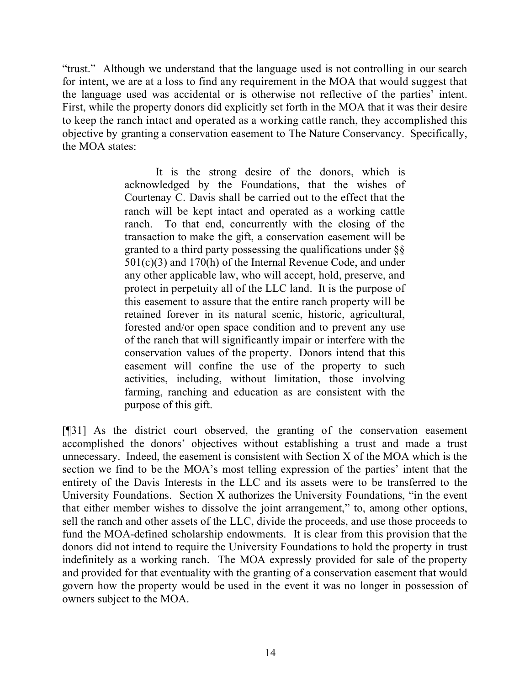"trust." Although we understand that the language used is not controlling in our search for intent, we are at a loss to find any requirement in the MOA that would suggest that the language used was accidental or is otherwise not reflective of the parties' intent. First, while the property donors did explicitly set forth in the MOA that it was their desire to keep the ranch intact and operated as a working cattle ranch, they accomplished this objective by granting a conservation easement to The Nature Conservancy. Specifically, the MOA states:

> It is the strong desire of the donors, which is acknowledged by the Foundations, that the wishes of Courtenay C. Davis shall be carried out to the effect that the ranch will be kept intact and operated as a working cattle ranch. To that end, concurrently with the closing of the transaction to make the gift, a conservation easement will be granted to a third party possessing the qualifications under  $\S$ § 501(c)(3) and 170(h) of the Internal Revenue Code, and under any other applicable law, who will accept, hold, preserve, and protect in perpetuity all of the LLC land. It is the purpose of this easement to assure that the entire ranch property will be retained forever in its natural scenic, historic, agricultural, forested and/or open space condition and to prevent any use of the ranch that will significantly impair or interfere with the conservation values of the property. Donors intend that this easement will confine the use of the property to such activities, including, without limitation, those involving farming, ranching and education as are consistent with the purpose of this gift.

[¶31] As the district court observed, the granting of the conservation easement accomplished the donors' objectives without establishing a trust and made a trust unnecessary. Indeed, the easement is consistent with Section X of the MOA which is the section we find to be the MOA's most telling expression of the parties' intent that the entirety of the Davis Interests in the LLC and its assets were to be transferred to the University Foundations. Section X authorizes the University Foundations, "in the event that either member wishes to dissolve the joint arrangement," to, among other options, sell the ranch and other assets of the LLC, divide the proceeds, and use those proceeds to fund the MOA-defined scholarship endowments. It is clear from this provision that the donors did not intend to require the University Foundations to hold the property in trust indefinitely as a working ranch. The MOA expressly provided for sale of the property and provided for that eventuality with the granting of a conservation easement that would govern how the property would be used in the event it was no longer in possession of owners subject to the MOA.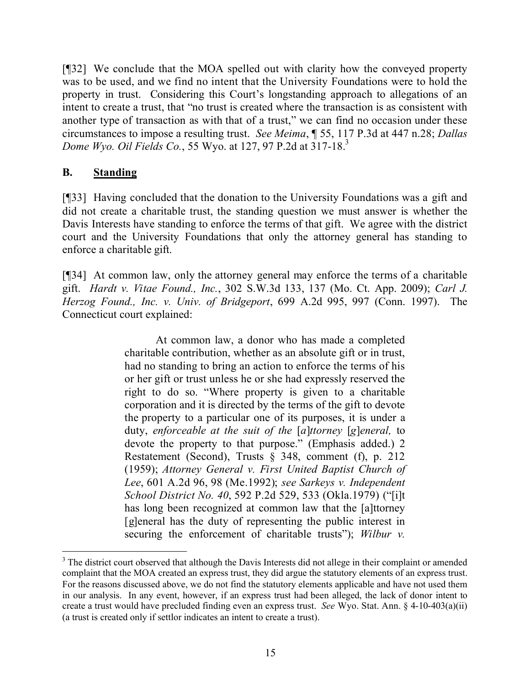[¶32] We conclude that the MOA spelled out with clarity how the conveyed property was to be used, and we find no intent that the University Foundations were to hold the property in trust. Considering this Court's longstanding approach to allegations of an intent to create a trust, that "no trust is created where the transaction is as consistent with another type of transaction as with that of a trust," we can find no occasion under these circumstances to impose a resulting trust. *See Meima*, ¶ 55, 117 P.3d at 447 n.28; *Dallas Dome Wyo. Oil Fields Co.*, 55 Wyo. at 127, 97 P.2d at 317-18.<sup>3</sup>

## **B. Standing**

 $\overline{a}$ 

[¶33] Having concluded that the donation to the University Foundations was a gift and did not create a charitable trust, the standing question we must answer is whether the Davis Interests have standing to enforce the terms of that gift. We agree with the district court and the University Foundations that only the attorney general has standing to enforce a charitable gift.

[¶34] At common law, only the attorney general may enforce the terms of a charitable gift. *Hardt v. Vitae Found., Inc.*, 302 S.W.3d 133, 137 (Mo. Ct. App. 2009); *Carl J. Herzog Found., Inc. v. Univ. of Bridgeport*, 699 A.2d 995, 997 (Conn. 1997). The Connecticut court explained:

> At common law, a donor who has made a completed charitable contribution, whether as an absolute gift or in trust, had no standing to bring an action to enforce the terms of his or her gift or trust unless he or she had expressly reserved the right to do so. "Where property is given to a charitable corporation and it is directed by the terms of the gift to devote the property to a particular one of its purposes, it is under a duty, *enforceable at the suit of the* [*a*]*ttorney* [*g*]*eneral,* to devote the property to that purpose." (Emphasis added.) 2 Restatement (Second), Trusts § 348, comment (f), p. 212 (1959); *Attorney General v. First United Baptist Church of Lee*, 601 A.2d 96, 98 (Me.1992); *see Sarkeys v. Independent School District No. 40*, 592 P.2d 529, 533 (Okla.1979) ("[i]t has long been recognized at common law that the [a]ttorney [g]eneral has the duty of representing the public interest in securing the enforcement of charitable trusts"); *Wilbur v.*

<sup>&</sup>lt;sup>3</sup> The district court observed that although the Davis Interests did not allege in their complaint or amended complaint that the MOA created an express trust, they did argue the statutory elements of an express trust. For the reasons discussed above, we do not find the statutory elements applicable and have not used them in our analysis. In any event, however, if an express trust had been alleged, the lack of donor intent to create a trust would have precluded finding even an express trust. *See* Wyo. Stat. Ann. § 4-10-403(a)(ii) (a trust is created only if settlor indicates an intent to create a trust).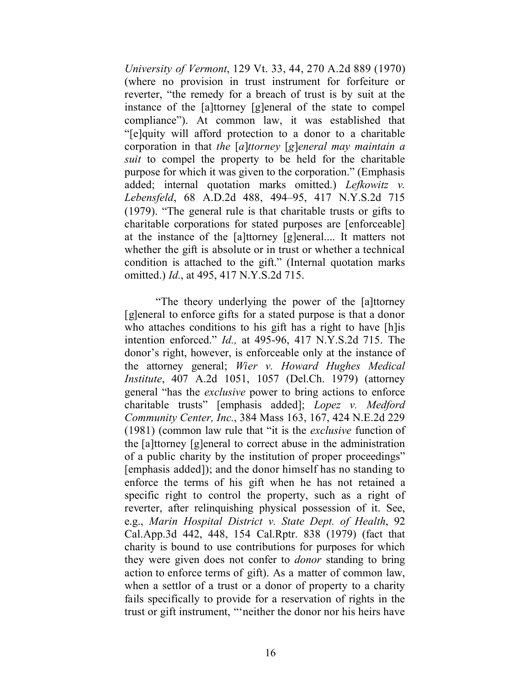*University of Vermont*, 129 Vt. 33, 44, 270 A.2d 889 (1970) (where no provision in trust instrument for forfeiture or reverter, "the remedy for a breach of trust is by suit at the instance of the [a]ttorney [g]eneral of the state to compel compliance"). At common law, it was established that "[e]quity will afford protection to a donor to a charitable corporation in that *the* [*a*]*ttorney* [*g*]*eneral may maintain a suit* to compel the property to be held for the charitable purpose for which it was given to the corporation." (Emphasis added; internal quotation marks omitted.) *Lefkowitz v. Lebensfeld*, 68 A.D.2d 488, 494–95, 417 N.Y.S.2d 715 (1979). "The general rule is that charitable trusts or gifts to charitable corporations for stated purposes are [enforceable] at the instance of the [a]ttorney [g]eneral.... It matters not whether the gift is absolute or in trust or whether a technical condition is attached to the gift." (Internal quotation marks omitted.) *Id.*, at 495, 417 N.Y.S.2d 715.

"The theory underlying the power of the [a]ttorney [g]eneral to enforce gifts for a stated purpose is that a donor who attaches conditions to his gift has a right to have [h]is intention enforced." *Id.,* at 495-96, 417 N.Y.S.2d 715. The donor's right, however, is enforceable only at the instance of the attorney general; *Wier v. Howard Hughes Medical Institute*, 407 A.2d 1051, 1057 (Del.Ch. 1979) (attorney general "has the *exclusive* power to bring actions to enforce charitable trusts" [emphasis added]; *Lopez v. Medford Community Center, Inc.*, 384 Mass 163, 167, 424 N.E.2d 229 (1981) (common law rule that "it is the *exclusive* function of the [a]ttorney [g]eneral to correct abuse in the administration of a public charity by the institution of proper proceedings" [emphasis added]); and the donor himself has no standing to enforce the terms of his gift when he has not retained a specific right to control the property, such as a right of reverter, after relinquishing physical possession of it. See, e.g., *Marin Hospital District v. State Dept. of Health*, 92 Cal.App.3d 442, 448, 154 Cal.Rptr. 838 (1979) (fact that charity is bound to use contributions for purposes for which they were given does not confer to *donor* standing to bring action to enforce terms of gift). As a matter of common law, when a settlor of a trust or a donor of property to a charity fails specifically to provide for a reservation of rights in the trust or gift instrument, "'neither the donor nor his heirs have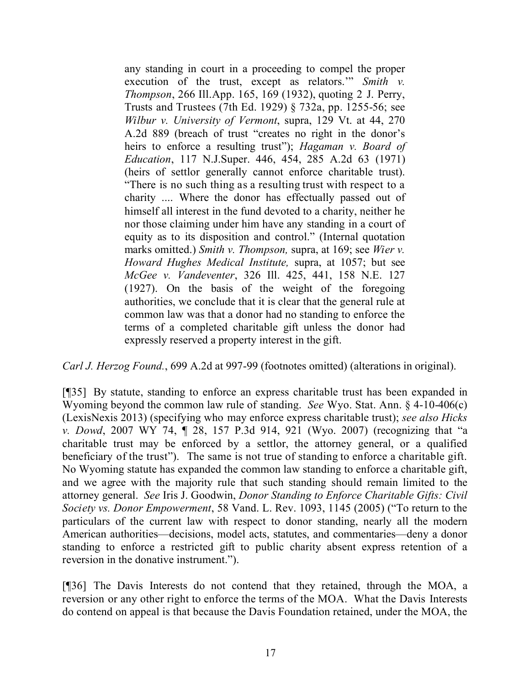any standing in court in a proceeding to compel the proper execution of the trust, except as relators.'" *Smith v. Thompson*, 266 Ill.App. 165, 169 (1932), quoting 2 J. Perry, Trusts and Trustees (7th Ed. 1929) § 732a, pp. 1255-56; see *Wilbur v. University of Vermont*, supra, 129 Vt. at 44, 270 A.2d 889 (breach of trust "creates no right in the donor's heirs to enforce a resulting trust"); *Hagaman v. Board of Education*, 117 N.J.Super. 446, 454, 285 A.2d 63 (1971) (heirs of settlor generally cannot enforce charitable trust). "There is no such thing as a resulting trust with respect to a charity .... Where the donor has effectually passed out of himself all interest in the fund devoted to a charity, neither he nor those claiming under him have any standing in a court of equity as to its disposition and control." (Internal quotation marks omitted.) *Smith v. Thompson,* supra, at 169; see *Wier v. Howard Hughes Medical Institute,* supra, at 1057; but see *McGee v. Vandeventer*, 326 Ill. 425, 441, 158 N.E. 127 (1927). On the basis of the weight of the foregoing authorities, we conclude that it is clear that the general rule at common law was that a donor had no standing to enforce the terms of a completed charitable gift unless the donor had expressly reserved a property interest in the gift.

*Carl J. Herzog Found.*, 699 A.2d at 997-99 (footnotes omitted) (alterations in original).

[¶35] By statute, standing to enforce an express charitable trust has been expanded in Wyoming beyond the common law rule of standing. *See* Wyo. Stat. Ann. § 4-10-406(c) (LexisNexis 2013) (specifying who may enforce express charitable trust); *see also Hicks v. Dowd*, 2007 WY 74, ¶ 28, 157 P.3d 914, 921 (Wyo. 2007) (recognizing that "a charitable trust may be enforced by a settlor, the attorney general, or a qualified beneficiary of the trust"). The same is not true of standing to enforce a charitable gift. No Wyoming statute has expanded the common law standing to enforce a charitable gift, and we agree with the majority rule that such standing should remain limited to the attorney general. *See* Iris J. Goodwin, *Donor Standing to Enforce Charitable Gifts: Civil Society vs. Donor Empowerment*, 58 Vand. L. Rev. 1093, 1145 (2005) ("To return to the particulars of the current law with respect to donor standing, nearly all the modern American authorities—decisions, model acts, statutes, and commentaries—deny a donor standing to enforce a restricted gift to public charity absent express retention of a reversion in the donative instrument.").

[¶36] The Davis Interests do not contend that they retained, through the MOA, a reversion or any other right to enforce the terms of the MOA. What the Davis Interests do contend on appeal is that because the Davis Foundation retained, under the MOA, the